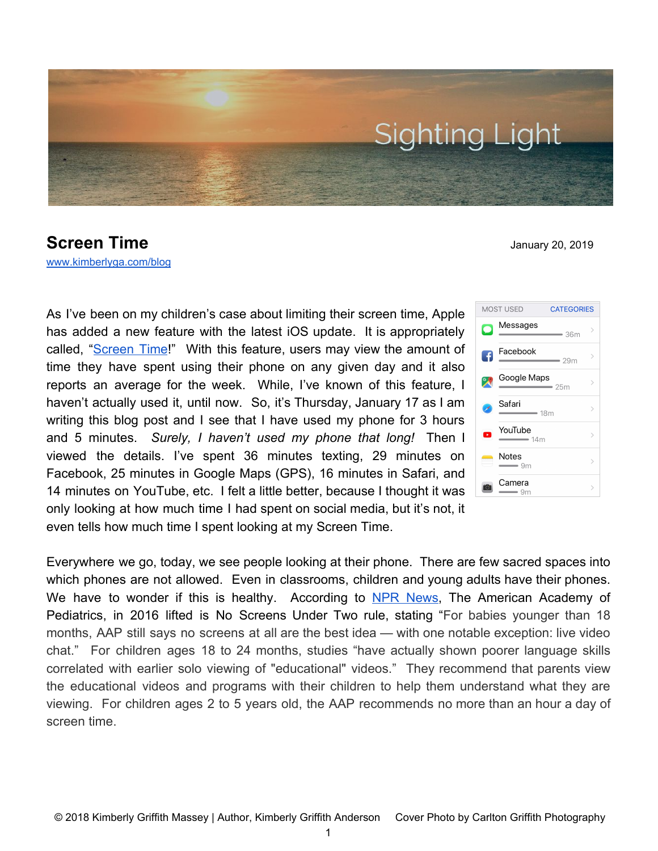

## **Screen Time** January 20, 2019

[www.kimberlyga.com/blog](http://www.kimberlyga.com/blog)

As I've been on my children's case about limiting their screen time, Apple has added a new feature with the latest iOS update. It is appropriately called, "[Screen](https://support.apple.com/en-us/HT208982) Time!" With this feature, users may view the amount of time they have spent using their phone on any given day and it also reports an average for the week. While, I've known of this feature, I haven't actually used it, until now. So, it's Thursday, January 17 as I am writing this blog post and I see that I have used my phone for 3 hours and 5 minutes. *Surely, I haven't used my phone that long!* Then I viewed the details. I've spent 36 minutes texting, 29 minutes on Facebook, 25 minutes in Google Maps (GPS), 16 minutes in Safari, and 14 minutes on YouTube, etc. I felt a little better, because I thought it was only looking at how much time I had spent on social media, but it's not, it even tells how much time I spent looking at my Screen Time.

Messages  $= 36m$ Facebook G  $29m$ Google Maps  $\infty$  $-25m$ Safari  $=18m$ YouTube  $\rightarrow$  $=14m$ Notes  $\rightarrow$  $-9m$ Camera  $\overline{ }$  $= 9m$ 

**CATEGORIES** 

MOST USED

Everywhere we go, today, we see people looking at their phone. There are few sacred spaces into which phones are not allowed. Even in classrooms, children and young adults have their phones. We have to wonder if this is healthy. According to NPR [News](https://www.npr.org/sections/ed/2016/10/21/498550475/american-academy-of-pediatrics-lifts-no-screens-under-2-rule). The American Academy of Pediatrics, in 2016 lifted is No Screens Under Two rule, stating "For babies younger than 18 months, AAP still says no screens at all are the best idea — with one notable exception: live video chat." For children ages 18 to 24 months, studies "have actually shown poorer language skills correlated with earlier solo viewing of "educational" videos." They recommend that parents view the educational videos and programs with their children to help them understand what they are viewing. For children ages 2 to 5 years old, the AAP recommends no more than an hour a day of screen time.

1